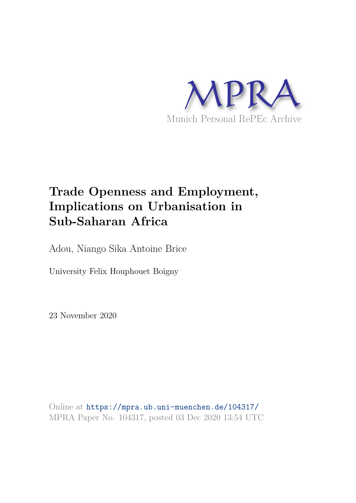

# **Trade Openness and Employment, Implications on Urbanisation in Sub-Saharan Africa**

Adou, Niango Sika Antoine Brice

University Felix Houphouet Boigny

23 November 2020

Online at https://mpra.ub.uni-muenchen.de/104317/ MPRA Paper No. 104317, posted 03 Dec 2020 13:54 UTC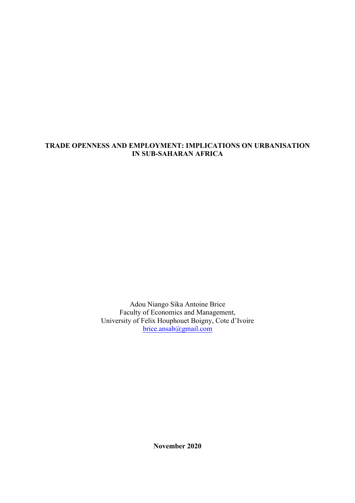## **TRADE OPENNESS AND EMPLOYMENT: IMPLICATIONS ON URBANISATION IN SUB-SAHARAN AFRICA**

Adou Niango Sika Antoine Brice Faculty of Economics and Management, University of Felix Houphouet Boigny, Cote d'Ivoire brice.ansab@gmail.com

**November 2020**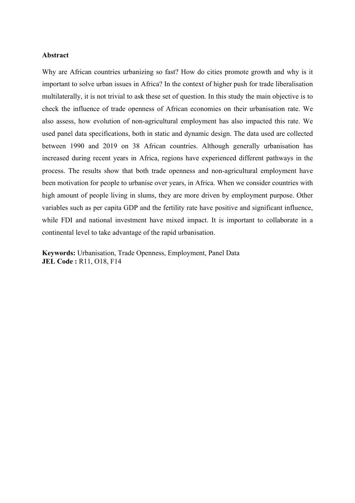#### **Abstract**

Why are African countries urbanizing so fast? How do cities promote growth and why is it important to solve urban issues in Africa? In the context of higher push for trade liberalisation multilaterally, it is not trivial to ask these set of question. In this study the main objective is to check the influence of trade openness of African economies on their urbanisation rate. We also assess, how evolution of non-agricultural employment has also impacted this rate. We used panel data specifications, both in static and dynamic design. The data used are collected between 1990 and 2019 on 38 African countries. Although generally urbanisation has increased during recent years in Africa, regions have experienced different pathways in the process. The results show that both trade openness and non-agricultural employment have been motivation for people to urbanise over years, in Africa. When we consider countries with high amount of people living in slums, they are more driven by employment purpose. Other variables such as per capita GDP and the fertility rate have positive and significant influence, while FDI and national investment have mixed impact. It is important to collaborate in a continental level to take advantage of the rapid urbanisation.

**Keywords:** Urbanisation, Trade Openness, Employment, Panel Data **JEL Code :** R11, O18, F14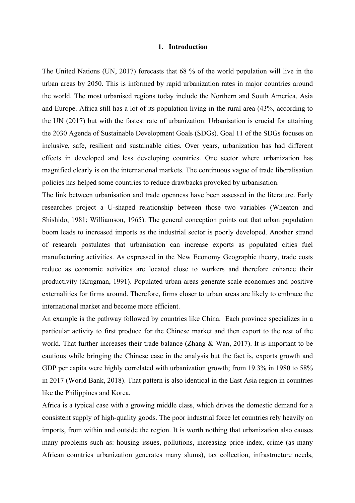#### **1. Introduction**

The United Nations (UN, 2017) forecasts that 68 % of the world population will live in the urban areas by 2050. This is informed by rapid urbanization rates in major countries around the world. The most urbanised regions today include the Northern and South America, Asia and Europe. Africa still has a lot of its population living in the rural area (43%, according to the UN (2017) but with the fastest rate of urbanization. Urbanisation is crucial for attaining the 2030 Agenda of Sustainable Development Goals (SDGs). Goal 11 of the SDGs focuses on inclusive, safe, resilient and sustainable cities. Over years, urbanization has had different effects in developed and less developing countries. One sector where urbanization has magnified clearly is on the international markets. The continuous vague of trade liberalisation policies has helped some countries to reduce drawbacks provoked by urbanisation.

The link between urbanisation and trade openness have been assessed in the literature. Early researches project a U-shaped relationship between those two variables (Wheaton and Shishido, 1981; Williamson, 1965). The general conception points out that urban population boom leads to increased imports as the industrial sector is poorly developed. Another strand of research postulates that urbanisation can increase exports as populated cities fuel manufacturing activities. As expressed in the New Economy Geographic theory, trade costs reduce as economic activities are located close to workers and therefore enhance their productivity (Krugman, 1991). Populated urban areas generate scale economies and positive externalities for firms around. Therefore, firms closer to urban areas are likely to embrace the international market and become more efficient.

An example is the pathway followed by countries like China. Each province specializes in a particular activity to first produce for the Chinese market and then export to the rest of the world. That further increases their trade balance (Zhang  $\&$  Wan, 2017). It is important to be cautious while bringing the Chinese case in the analysis but the fact is, exports growth and GDP per capita were highly correlated with urbanization growth; from 19.3% in 1980 to 58% in 2017 (World Bank, 2018). That pattern is also identical in the East Asia region in countries like the Philippines and Korea.

Africa is a typical case with a growing middle class, which drives the domestic demand for a consistent supply of high-quality goods. The poor industrial force let countries rely heavily on imports, from within and outside the region. It is worth nothing that urbanization also causes many problems such as: housing issues, pollutions, increasing price index, crime (as many African countries urbanization generates many slums), tax collection, infrastructure needs,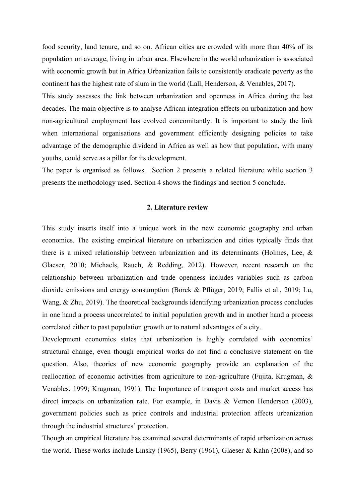food security, land tenure, and so on. African cities are crowded with more than 40% of its population on average, living in urban area. Elsewhere in the world urbanization is associated with economic growth but in Africa Urbanization fails to consistently eradicate poverty as the continent has the highest rate of slum in the world (Lall, Henderson, & Venables, 2017).

This study assesses the link between urbanization and openness in Africa during the last decades. The main objective is to analyse African integration effects on urbanization and how non-agricultural employment has evolved concomitantly. It is important to study the link when international organisations and government efficiently designing policies to take advantage of the demographic dividend in Africa as well as how that population, with many youths, could serve as a pillar for its development.

The paper is organised as follows. Section 2 presents a related literature while section 3 presents the methodology used. Section 4 shows the findings and section 5 conclude.

#### **2. Literature review**

This study inserts itself into a unique work in the new economic geography and urban economics. The existing empirical literature on urbanization and cities typically finds that there is a mixed relationship between urbanization and its determinants (Holmes, Lee, & Glaeser, 2010; Michaels, Rauch, & Redding, 2012). However, recent research on the relationship between urbanization and trade openness includes variables such as carbon dioxide emissions and energy consumption (Borck & Pflüger, 2019; Fallis et al., 2019; Lu, Wang, & Zhu, 2019). The theoretical backgrounds identifying urbanization process concludes in one hand a process uncorrelated to initial population growth and in another hand a process correlated either to past population growth or to natural advantages of a city.

Development economics states that urbanization is highly correlated with economies' structural change, even though empirical works do not find a conclusive statement on the question. Also, theories of new economic geography provide an explanation of the reallocation of economic activities from agriculture to non-agriculture (Fujita, Krugman, & Venables, 1999; Krugman, 1991). The Importance of transport costs and market access has direct impacts on urbanization rate. For example, in Davis & Vernon Henderson (2003), government policies such as price controls and industrial protection affects urbanization through the industrial structures' protection.

Though an empirical literature has examined several determinants of rapid urbanization across the world. These works include Linsky (1965), Berry (1961), Glaeser & Kahn (2008), and so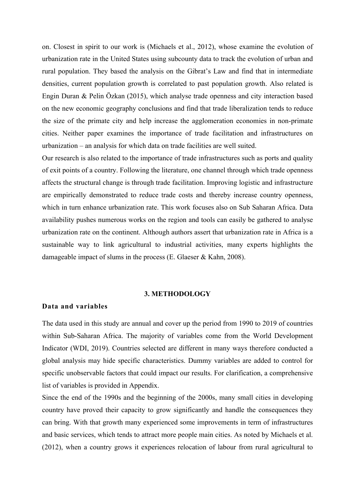on. Closest in spirit to our work is (Michaels et al., 2012), whose examine the evolution of urbanization rate in the United States using subcounty data to track the evolution of urban and rural population. They based the analysis on the Gibrat's Law and find that in intermediate densities, current population growth is correlated to past population growth. Also related is Engin Duran & Pelin Özkan (2015), which analyse trade openness and city interaction based on the new economic geography conclusions and find that trade liberalization tends to reduce the size of the primate city and help increase the agglomeration economies in non-primate cities. Neither paper examines the importance of trade facilitation and infrastructures on urbanization – an analysis for which data on trade facilities are well suited.

Our research is also related to the importance of trade infrastructures such as ports and quality of exit points of a country. Following the literature, one channel through which trade openness affects the structural change is through trade facilitation. Improving logistic and infrastructure are empirically demonstrated to reduce trade costs and thereby increase country openness, which in turn enhance urbanization rate. This work focuses also on Sub Saharan Africa. Data availability pushes numerous works on the region and tools can easily be gathered to analyse urbanization rate on the continent. Although authors assert that urbanization rate in Africa is a sustainable way to link agricultural to industrial activities, many experts highlights the damageable impact of slums in the process (E. Glaeser & Kahn, 2008).

#### **3. METHODOLOGY**

#### **Data and variables**

The data used in this study are annual and cover up the period from 1990 to 2019 of countries within Sub-Saharan Africa. The majority of variables come from the World Development Indicator (WDI, 2019). Countries selected are different in many ways therefore conducted a global analysis may hide specific characteristics. Dummy variables are added to control for specific unobservable factors that could impact our results. For clarification, a comprehensive list of variables is provided in Appendix.

Since the end of the 1990s and the beginning of the 2000s, many small cities in developing country have proved their capacity to grow significantly and handle the consequences they can bring. With that growth many experienced some improvements in term of infrastructures and basic services, which tends to attract more people main cities. As noted by Michaels et al. (2012), when a country grows it experiences relocation of labour from rural agricultural to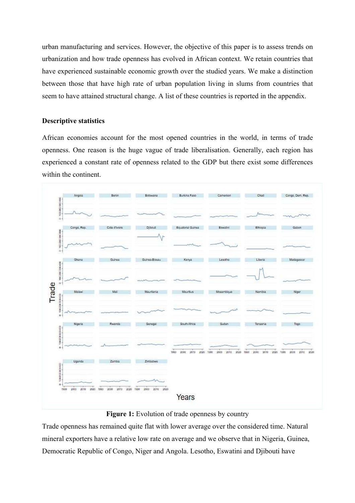urban manufacturing and services. However, the objective of this paper is to assess trends on urbanization and how trade openness has evolved in African context. We retain countries that have experienced sustainable economic growth over the studied years. We make a distinction between those that have high rate of urban population living in slums from countries that seem to have attained structural change. A list of these countries is reported in the appendix.

### **Descriptive statistics**

African economies account for the most opened countries in the world, in terms of trade openness. One reason is the huge vague of trade liberalisation. Generally, each region has experienced a constant rate of openness related to the GDP but there exist some differences within the continent.



**Figure 1:** Evolution of trade openness by country

Trade openness has remained quite flat with lower average over the considered time. Natural mineral exporters have a relative low rate on average and we observe that in Nigeria, Guinea, Democratic Republic of Congo, Niger and Angola. Lesotho, Eswatini and Djibouti have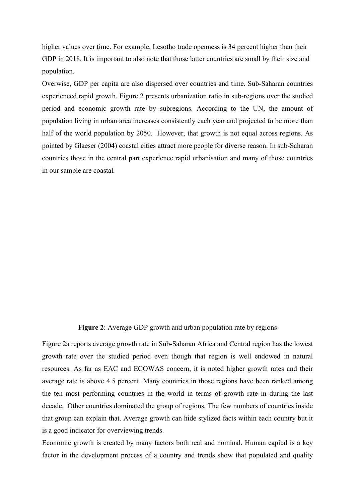higher values over time. For example, Lesotho trade openness is 34 percent higher than their GDP in 2018. It is important to also note that those latter countries are small by their size and population.

Overwise, GDP per capita are also dispersed over countries and time. Sub-Saharan countries experienced rapid growth. Figure 2 presents urbanization ratio in sub-regions over the studied period and economic growth rate by subregions. According to the UN, the amount of population living in urban area increases consistently each year and projected to be more than half of the world population by 2050. However, that growth is not equal across regions. As pointed by Glaeser (2004) coastal cities attract more people for diverse reason. In sub-Saharan countries those in the central part experience rapid urbanisation and many of those countries in our sample are coastal. 

#### **Figure 2**: Average GDP growth and urban population rate by regions

Figure 2a reports average growth rate in Sub-Saharan Africa and Central region has the lowest growth rate over the studied period even though that region is well endowed in natural resources. As far as EAC and ECOWAS concern, it is noted higher growth rates and their average rate is above 4.5 percent. Many countries in those regions have been ranked among the ten most performing countries in the world in terms of growth rate in during the last decade. Other countries dominated the group of regions. The few numbers of countries inside that group can explain that. Average growth can hide stylized facts within each country but it is a good indicator for overviewing trends.

Economic growth is created by many factors both real and nominal. Human capital is a key factor in the development process of a country and trends show that populated and quality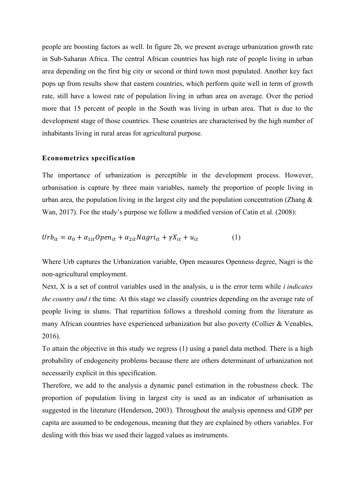people are boosting factors as well. In figure 2b, we present average urbanization growth rate in Sub-Saharan Africa. The central African countries has high rate of people living in urban area depending on the first big city or second or third town most populated. Another key fact pops up from results show that eastern countries, which perform quite well in term of growth rate, still have a lowest rate of population living in urban area on average. Over the period more that 15 percent of people in the South was living in urban area. That is due to the development stage of those countries. These countries are characterised by the high number of inhabitants living in rural areas for agricultural purpose.

#### **Econometrics specification**

The importance of urbanization is perceptible in the development process. However, urbanisation is capture by three main variables, namely the proportion of people living in urban area, the population living in the largest city and the population concentration (Zhang  $\&$ Wan, 2017). For the study's purpose we follow a modified version of Catin et al. (2008):

$$
Urb_{it} = \alpha_0 + \alpha_{1it} Open_{it} + \alpha_{2it} Nagri_{it} + \gamma X_{it} + u_{it}
$$
 (1)

Where Urb captures the Urbanization variable, Open measures Openness degree, Nagri is the non-agricultural employment.

Next, X is a set of control variables used in the analysis, u is the error term while *i indicates the country and t* the time. At this stage we classify countries depending on the average rate of people living in slums. That repartition follows a threshold coming from the literature as many African countries have experienced urbanization but also poverty (Collier & Venables, 2016).

To attain the objective in this study we regress (1) using a panel data method. There is a high probability of endogeneity problems because there are others determinant of urbanization not necessarily explicit in this specification.

Therefore, we add to the analysis a dynamic panel estimation in the robustness check. The proportion of population living in largest city is used as an indicator of urbanisation as suggested in the literature (Henderson, 2003). Throughout the analysis openness and GDP per capita are assumed to be endogenous, meaning that they are explained by others variables. For dealing with this bias we used their lagged values as instruments.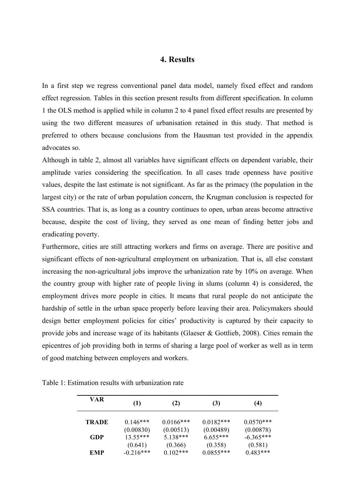### **4. Results**

In a first step we regress conventional panel data model, namely fixed effect and random effect regression. Tables in this section present results from different specification. In column 1 the OLS method is applied while in column 2 to 4 panel fixed effect results are presented by using the two different measures of urbanisation retained in this study. That method is preferred to others because conclusions from the Hausman test provided in the appendix advocates so.

Although in table 2, almost all variables have significant effects on dependent variable, their amplitude varies considering the specification. In all cases trade openness have positive values, despite the last estimate is not significant. As far as the primacy (the population in the largest city) or the rate of urban population concern, the Krugman conclusion is respected for SSA countries. That is, as long as a country continues to open, urban areas become attractive because, despite the cost of living, they served as one mean of finding better jobs and eradicating poverty.

Furthermore, cities are still attracting workers and firms on average. There are positive and significant effects of non-agricultural employment on urbanization. That is, all else constant increasing the non-agricultural jobs improve the urbanization rate by 10% on average. When the country group with higher rate of people living in slums (column 4) is considered, the employment drives more people in cities. It means that rural people do not anticipate the hardship of settle in the urban space properly before leaving their area. Policymakers should design better employment policies for cities' productivity is captured by their capacity to provide jobs and increase wage of its habitants (Glaeser & Gottlieb, 2008). Cities remain the epicentres of job providing both in terms of sharing a large pool of worker as well as in term of good matching between employers and workers. 

| <b>VAR</b>   | (1)         | (2)          | (3)         | (4)         |
|--------------|-------------|--------------|-------------|-------------|
| <b>TRADE</b> | $0.146***$  | $0.0166$ *** | $0.0182***$ | $0.0570***$ |
|              | (0.00830)   | (0.00513)    | (0.00489)   | (0.00878)   |
| GDP          | $13.55***$  | $5.138***$   | $6.655***$  | $-6.365***$ |
|              | (0.641)     | (0.366)      | (0.358)     | (0.581)     |
| <b>EMP</b>   | $-0.216***$ | $0.102***$   | $0.0855***$ | $0.483***$  |

Table 1: Estimation results with urbanization rate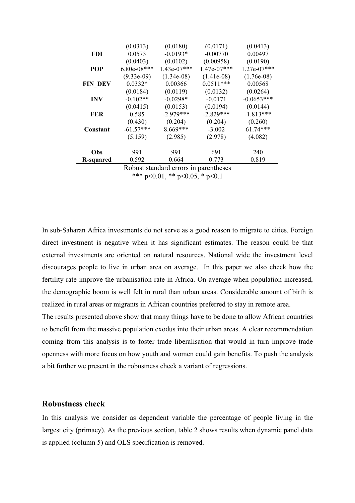|                                       | (0.0313)      | (0.0180)      | (0.0171)      | (0.0413)      |
|---------------------------------------|---------------|---------------|---------------|---------------|
| FDI                                   | 0.0573        | $-0.0193*$    | $-0.00770$    | 0.00497       |
|                                       | (0.0403)      | (0.0102)      | (0.00958)     | (0.0190)      |
| <b>POP</b>                            | $6.80e-08***$ | $1.43e-07***$ | $1.47e-07***$ | $1.27e-07***$ |
|                                       | $(9.33e-09)$  | $(1.34e-08)$  | $(1.41e-08)$  | $(1.76e-0.8)$ |
| <b>FIN DEV</b>                        | $0.0332*$     | 0.00366       | $0.0511***$   | 0.00568       |
|                                       | (0.0184)      | (0.0119)      | (0.0132)      | (0.0264)      |
| <b>INV</b>                            | $-0.102**$    | $-0.0298*$    | $-0.0171$     | $-0.0653***$  |
|                                       | (0.0415)      | (0.0153)      | (0.0194)      | (0.0144)      |
| <b>FER</b>                            | 0.585         | $-2.979***$   | $-2.829***$   | $-1.813***$   |
|                                       | (0.430)       | (0.204)       | (0.204)       | (0.260)       |
| Constant                              | $-61.57***$   | $8.669***$    | $-3.002$      | $61.74***$    |
|                                       | (5.159)       | (2.985)       | (2.978)       | (4.082)       |
| Obs                                   | 991           | 991           | 691           | 240           |
| R-squared                             | 0.592         | 0.664         | 0.773         | 0.819         |
| Robust standard errors in parentheses |               |               |               |               |

\*\*\* p<0.01, \*\* p<0.05, \* p<0.1

In sub-Saharan Africa investments do not serve as a good reason to migrate to cities. Foreign direct investment is negative when it has significant estimates. The reason could be that external investments are oriented on natural resources. National wide the investment level discourages people to live in urban area on average. In this paper we also check how the fertility rate improve the urbanisation rate in Africa. On average when population increased, the demographic boom is well felt in rural than urban areas. Considerable amount of birth is realized in rural areas or migrants in African countries preferred to stay in remote area.

The results presented above show that many things have to be done to allow African countries to benefit from the massive population exodus into their urban areas. A clear recommendation coming from this analysis is to foster trade liberalisation that would in turn improve trade openness with more focus on how youth and women could gain benefits. To push the analysis a bit further we present in the robustness check a variant of regressions.

#### **Robustness check**

In this analysis we consider as dependent variable the percentage of people living in the largest city (primacy). As the previous section, table 2 shows results when dynamic panel data is applied (column 5) and OLS specification is removed.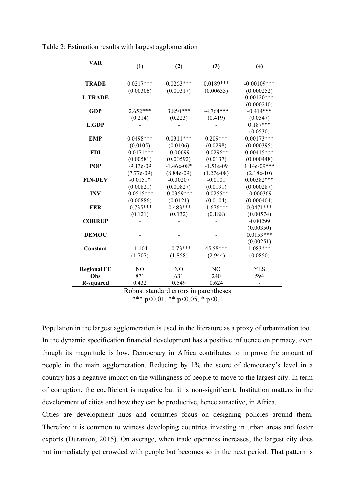| <b>VAR</b>         | (1)            | (2)          | (3)            | (4)            |
|--------------------|----------------|--------------|----------------|----------------|
|                    |                |              |                |                |
| <b>TRADE</b>       | $0.0217***$    | $0.0263***$  | $0.0189***$    | $-0.00109$ *** |
|                    | (0.00306)      | (0.00317)    | (0.00633)      | (0.000252)     |
| <b>L.TRADE</b>     |                |              |                | $0.00120***$   |
|                    |                |              |                | (0.000240)     |
| <b>GDP</b>         | $2.652***$     | 3.850***     | $-4.764***$    | $-0.414***$    |
|                    | (0.214)        | (0.223)      | (0.419)        | (0.0547)       |
| <b>L.GDP</b>       |                |              |                | $0.187***$     |
|                    |                |              |                | (0.0530)       |
| <b>EMP</b>         | $0.0498***$    | $0.0311***$  | $0.209***$     | $0.00173***$   |
|                    | (0.0105)       | (0.0106)     | (0.0298)       | (0.000395)     |
| <b>FDI</b>         | $-0.0171***$   | $-0.00699$   | $-0.0296**$    | $0.00415***$   |
|                    | (0.00581)      | (0.00592)    | (0.0137)       | (0.000448)     |
| POP                | $-9.13e-09$    | $-1.46e-08*$ | $-1.51e-09$    | 1.14e-09***    |
|                    | $(7.77e-09)$   | $(8.84e-09)$ | $(1.27e-08)$   | $(2.18e-10)$   |
| <b>FIN-DEV</b>     | $-0.0151*$     | $-0.00207$   | $-0.0101$      | $0.00382***$   |
|                    | (0.00821)      | (0.00827)    | (0.0191)       | (0.000287)     |
| <b>INV</b>         | $-0.0515***$   | $-0.0359***$ | $-0.0255**$    | $-0.000369$    |
|                    | (0.00886)      | (0.0121)     | (0.0104)       | (0.000404)     |
| <b>FER</b>         | $-0.735***$    | $-0.483***$  | $-1.676***$    | $0.0471***$    |
|                    | (0.121)        | (0.132)      | (0.188)        | (0.00574)      |
| <b>CORRUP</b>      |                |              |                | $-0.00299$     |
|                    |                |              |                | (0.00350)      |
| <b>DEMOC</b>       |                |              |                | $0.0153***$    |
|                    |                |              |                | (0.00251)      |
| Constant           | $-1.104$       | $-10.73***$  | 45.58***       | $1.083***$     |
|                    | (1.707)        | (1.858)      | (2.944)        | (0.0850)       |
| <b>Regional FE</b> | N <sub>O</sub> | NO           | N <sub>O</sub> | <b>YES</b>     |
| Obs                | 871            | 631          | 240            | 594            |
| <b>R-squared</b>   | 0.432          | 0.549        | 0.624          |                |
|                    | D              |              | $\overline{1}$ |                |

Table 2: Estimation results with largest agglomeration

Robust standard errors in parentheses \*\*\* p<0.01, \*\* p<0.05, \* p<0.1

Population in the largest agglomeration is used in the literature as a proxy of urbanization too. In the dynamic specification financial development has a positive influence on primacy, even though its magnitude is low. Democracy in Africa contributes to improve the amount of people in the main agglomeration. Reducing by 1% the score of democracy's level in a country has a negative impact on the willingness of people to move to the largest city. In term of corruption, the coefficient is negative but it is non-significant. Institution matters in the development of cities and how they can be productive, hence attractive, in Africa.

Cities are development hubs and countries focus on designing policies around them. Therefore it is common to witness developing countries investing in urban areas and foster exports (Duranton, 2015). On average, when trade openness increases, the largest city does not immediately get crowded with people but becomes so in the next period. That pattern is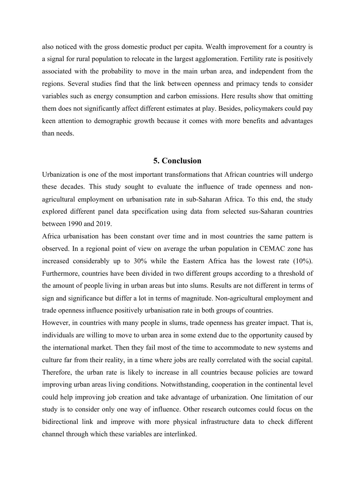also noticed with the gross domestic product per capita. Wealth improvement for a country is a signal for rural population to relocate in the largest agglomeration. Fertility rate is positively associated with the probability to move in the main urban area, and independent from the regions. Several studies find that the link between openness and primacy tends to consider variables such as energy consumption and carbon emissions. Here results show that omitting them does not significantly affect different estimates at play. Besides, policymakers could pay keen attention to demographic growth because it comes with more benefits and advantages than needs.

### **5. Conclusion**

Urbanization is one of the most important transformations that African countries will undergo these decades. This study sought to evaluate the influence of trade openness and nonagricultural employment on urbanisation rate in sub-Saharan Africa. To this end, the study explored different panel data specification using data from selected sus-Saharan countries between 1990 and 2019.

Africa urbanisation has been constant over time and in most countries the same pattern is observed. In a regional point of view on average the urban population in CEMAC zone has increased considerably up to 30% while the Eastern Africa has the lowest rate (10%). Furthermore, countries have been divided in two different groups according to a threshold of the amount of people living in urban areas but into slums. Results are not different in terms of sign and significance but differ a lot in terms of magnitude. Non-agricultural employment and trade openness influence positively urbanisation rate in both groups of countries.

However, in countries with many people in slums, trade openness has greater impact. That is, individuals are willing to move to urban area in some extend due to the opportunity caused by the international market. Then they fail most of the time to accommodate to new systems and culture far from their reality, in a time where jobs are really correlated with the social capital. Therefore, the urban rate is likely to increase in all countries because policies are toward improving urban areas living conditions. Notwithstanding, cooperation in the continental level could help improving job creation and take advantage of urbanization. One limitation of our study is to consider only one way of influence. Other research outcomes could focus on the bidirectional link and improve with more physical infrastructure data to check different channel through which these variables are interlinked.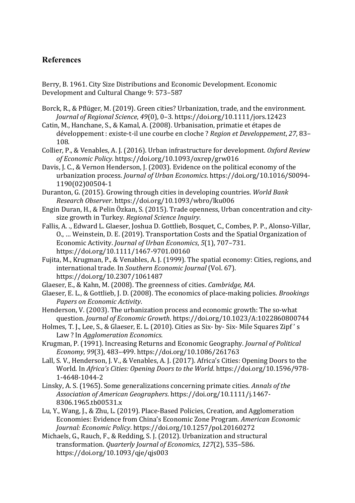# **References**

Berry, B. 1961. City Size Distributions and Economic Development. Economic Development and Cultural Change 9: 573-587

Borck, R., & Pflüger, M. (2019). Green cities? Urbanization, trade, and the environment. *Journal of Regional Science, 49(0), 0-3. https://doi.org/10.1111/jors.12423* 

Catin, M., Hanchane, S., & Kamal, A. (2008). Urbanisation, primatie et étapes de développement : existe-t-il une courbe en cloche ? Region et Developpement, 27, 83– 108.

Collier, P., & Venables, A. J. (2016). Urban infrastructure for development. Oxford Review of Economic Policy. https://doi.org/10.1093/oxrep/grw016

Davis, I. C., & Vernon Henderson, I. (2003). Evidence on the political economy of the urbanization process. *Journal of Urban Economics*. https://doi.org/10.1016/S0094-1190(02)00504-1

Duranton, G. (2015). Growing through cities in developing countries. World Bank *Research 
 Observer*. 
 https://doi.org/10.1093/wbro/lku006

Engin Duran, H., & Pelin Özkan, S. (2015). Trade openness, Urban concentration and citysize growth in Turkey. Regional Science Inquiry.

- Fallis, A. .. Edward L. Glaeser, Joshua D. Gottlieb, Bosquet, C., Combes, P. P., Alonso-Villar, O., ... Weinstein, D. E. (2019). Transportation Costs and the Spatial Organization of Economic Activity. *Journal of Urban Economics*, 5(1), 707-731. https://doi.org/10.1111/1467-9701.00160
- Fujita, M., Krugman, P., & Venables, A. J. (1999). The spatial economy: Cities, regions, and international trade. In Southern Economic Journal (Vol. 67). https://doi.org/10.2307/1061487
- Glaeser, E., & Kahn, M. (2008). The greenness of cities. *Cambridge, MA*.
- Glaeser, E. L., & Gottlieb, J. D. (2008). The economics of place-making policies. *Brookings* Papers on *Economic Activity*.
- Henderson, V. (2003). The urbanization process and economic growth: The so-what question. *Journal of Economic Growth*. https://doi.org/10.1023/A:1022860800744
- Holmes, T. J., Lee, S., & Glaeser, E. L. (2010). Cities as Six- by- Six- Mile Squares Zipf's Law? In *Agglomeration Economics*.
- Krugman, P. (1991). Increasing Returns and Economic Geography. *Journal of Political* Economy, 99(3), 483-499. https://doi.org/10.1086/261763
- Lall, S. V., Henderson, J. V., & Venables, A. J. (2017). Africa's Cities: Opening Doors to the World. In Africa's Cities: Opening Doors to the World. https://doi.org/10.1596/978-1-4648-1044-2
- Linsky, A. S. (1965). Some generalizations concerning primate cities. Annals of the Association of American Geographers. https://doi.org/10.1111/j.1467-8306.1965.tb00531.x
- Lu, Y., Wang, J., & Zhu, L. (2019). Place-Based Policies, Creation, and Agglomeration Economies: Evidence from China's Economic Zone Program. *American Economic Journal: Economic Policy. https://doi.org/10.1257/pol.20160272*
- Michaels, G., Rauch, F., & Redding, S. J. (2012). Urbanization and structural transformation. Quarterly Journal of Economics, 127(2), 535-586. https://doi.org/10.1093/qje/qjs003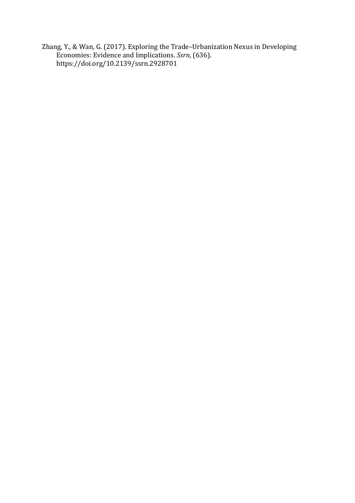Zhang, Y., & Wan, G. (2017). Exploring the Trade-Urbanization Nexus in Developing Economies: Evidence and Implications. Ssrn, (636). https://doi.org/10.2139/ssrn.2928701